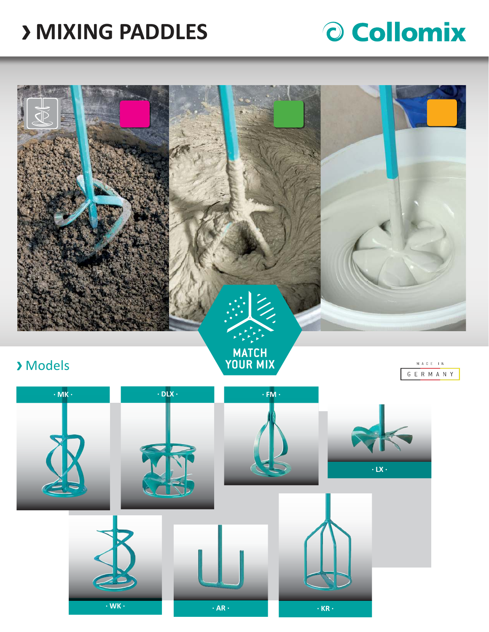# **MIXING PADDLES**

# O Collomix



## Models

**MATCH<br>YOUR MIX** 



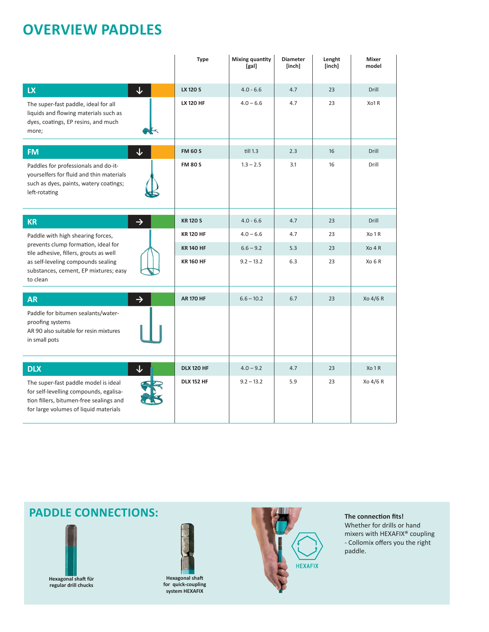# **OVERVIEW PADDLES**

|                                                                                                                                                                    | <b>Type</b>       | <b>Mixing quantity</b><br>[gal] | <b>Diameter</b><br>[inch] | Lenght<br>[inch] | <b>Mixer</b><br>model |
|--------------------------------------------------------------------------------------------------------------------------------------------------------------------|-------------------|---------------------------------|---------------------------|------------------|-----------------------|
| $\downarrow$<br><b>LX</b>                                                                                                                                          | LX 120 S          | $4.0 - 6.6$                     | 4.7                       | 23               | Drill                 |
| The super-fast paddle, ideal for all<br>liquids and flowing materials such as<br>dyes, coatings, EP resins, and much<br>more;                                      | <b>LX 120 HF</b>  | $4.0 - 6.6$                     | 4.7                       | 23               | Xo1R                  |
| ↓<br><b>FM</b>                                                                                                                                                     | <b>FM 60 S</b>    | till 1.3                        | 2.3                       | 16               | Drill                 |
| Paddles for professionals and do-it-<br>yourselfers for fluid and thin materials<br>such as dyes, paints, watery coatings;<br>left-rotating                        | <b>FM 80 S</b>    | $1.3 - 2.5$                     | 3.1                       | 16               | Drill                 |
| <b>KR</b><br>$\rightarrow$                                                                                                                                         | <b>KR120S</b>     | $4.0 - 6.6$                     | 4.7                       | 23               | Drill                 |
| Paddle with high shearing forces,                                                                                                                                  | <b>KR120 HF</b>   | $4.0 - 6.6$                     | 4.7                       | 23               | Xo 1 R                |
| prevents clump formation, ideal for<br>tile adhesive, fillers, grouts as well                                                                                      | <b>KR140 HF</b>   | $6.6 - 9.2$                     | 5.3                       | 23               | X <sub>0</sub> 4R     |
| as self-leveling compounds sealing<br>substances, cement, EP mixtures; easy<br>to clean                                                                            | <b>KR160 HF</b>   | $9.2 - 13.2$                    | 6.3                       | 23               | Xo 6 R                |
| $\rightarrow$<br><b>AR</b>                                                                                                                                         | <b>AR 170 HF</b>  | $6.6 - 10.2$                    | 6.7                       | 23               | Xo 4/6 R              |
| Paddle for bitumen sealants/water-<br>proofing systems<br>AR 90 also suitable for resin mixtures<br>in small pots                                                  |                   |                                 |                           |                  |                       |
| <b>DLX</b><br>$\downarrow$                                                                                                                                         | <b>DLX 120 HF</b> | $4.0 - 9.2$                     | 4.7                       | 23               | Xo 1 R                |
| The super-fast paddle model is ideal<br>for self-levelling compounds, egalisa-<br>tion fillers, bitumen-free sealings and<br>for large volumes of liquid materials | <b>DLX 152 HF</b> | $9.2 - 13.2$                    | 5.9                       | 23               | Xo 4/6 R              |

## **PADDLE CONNECTIONS:** The connection fits!



**Hexagonal shaft for quick-coupling system HEXAFIX**



Whether for drills or hand mixers with HEXAFIX® coupling - Collomix offers you the right paddle.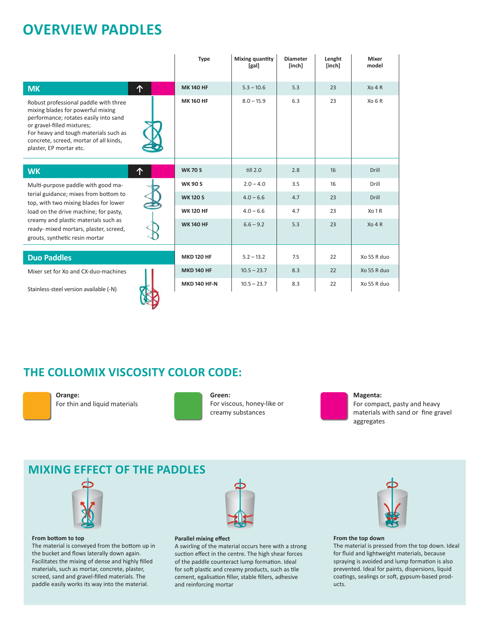## **OVERVIEW PADDLES**

|                                                                                                                                                                                                                                                                                   |   | <b>Type</b>         | Mixing quantity<br>[gal] | <b>Diameter</b><br>[inch] | Lenght<br>[inch] | Mixer<br>model    |
|-----------------------------------------------------------------------------------------------------------------------------------------------------------------------------------------------------------------------------------------------------------------------------------|---|---------------------|--------------------------|---------------------------|------------------|-------------------|
| <b>MK</b>                                                                                                                                                                                                                                                                         | 个 | <b>MK140 HF</b>     | $5.3 - 10.6$             | 5.3                       | 23               | Xo 4 R            |
| Robust professional paddle with three<br>mixing blades for powerful mixing<br>performance; rotates easily into sand<br>or gravel-filled mixtures;<br>For heavy and tough materials such as<br>concrete, screed, mortar of all kinds,<br>plaster, EP mortar etc.                   |   | <b>MK160 HF</b>     | $8.0 - 15.9$             | 6.3                       | 23               | Xo 6 R            |
| <b>WK</b>                                                                                                                                                                                                                                                                         | 个 | <b>WK 70 S</b>      | till 2.0                 | 2.8                       | 16               | <b>Drill</b>      |
| Multi-purpose paddle with good ma-<br>terial guidance; mixes from bottom to<br>top, with two mixing blades for lower<br>load on the drive machine; for pasty,<br>creamy and plastic materials such as<br>ready- mixed mortars, plaster, screed,<br>grouts, synthetic resin mortar |   | <b>WK 90 S</b>      | $2.0 - 4.0$              | 3.5                       | 16               | Drill             |
|                                                                                                                                                                                                                                                                                   |   |                     |                          |                           |                  |                   |
|                                                                                                                                                                                                                                                                                   |   | <b>WK120S</b>       | $4.0 - 6.6$              | 4.7                       | 23               | <b>Drill</b>      |
|                                                                                                                                                                                                                                                                                   |   | <b>WK 120 HF</b>    | $4.0 - 6.6$              | 4.7                       | 23               | Xo 1 R            |
|                                                                                                                                                                                                                                                                                   |   | <b>WK 140 HF</b>    | $6.6 - 9.2$              | 5.3                       | 23               | X <sub>0</sub> 4R |
|                                                                                                                                                                                                                                                                                   |   |                     |                          |                           |                  |                   |
| <b>Duo Paddles</b>                                                                                                                                                                                                                                                                |   | <b>MKD 120 HF</b>   | $5.2 - 13.2$             | 7.5                       | 22               | Xo 55 R duo       |
| Mixer set for Xo and CX-duo-machines                                                                                                                                                                                                                                              |   | <b>MKD 140 HF</b>   | $10.5 - 23.7$            | 8.3                       | 22               | Xo 55 R duo       |
| Stainless-steel version available (-N)                                                                                                                                                                                                                                            |   | <b>MKD 140 HF-N</b> | $10.5 - 23.7$            | 8.3                       | 22               | Xo 55 R duo       |

### **THE COLLOMIX VISCOSITY COLOR CODE:**

W



**Orange:** For thin and liquid materials



**Green:** For viscous, honey-like or creamy substances



**Magenta:** For compact, pasty and heavy materials with sand or fine gravel aggregates

#### **MIXING EFFECT OF THE PADDLES**



#### **From bottom to top**

The material is conveyed from the bottom up in the bucket and flows laterally down again. Facilitates the mixing of dense and highly filled materials, such as mortar, concrete, plaster, screed, sand and gravel-filled materials. The paddle easily works its way into the material.



#### **Parallel mixing effect**

A swirling of the material occurs here with a strong suction effect in the centre. The high shear forces of the paddle counteract lump formation. Ideal for soft plastic and creamy products, such as tile cement, egalisation filler, stable fillers, adhesive and reinforcing mortar



#### **From the top down**

The material is pressed from the top down. Ideal for fluid and lightweight materials, because spraying is avoided and lump formation is also prevented. Ideal for paints, dispersions, liquid coatings, sealings or soft, gypsum-based products.